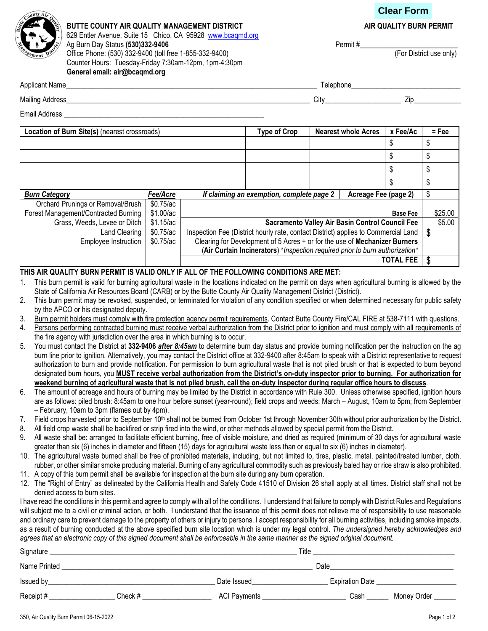# **Clear Form**



#### BUTTE COUNTY AIR QUALITY MANAGEMENT DISTRICT **AIR QUALITY BURN PERMIT** 629 Entler Avenue, Suite 15 Chico, CA 95928 www.bcaqmd.org Ag Burn Day Status (530)332-9406<br>
Office Phone: (530) 332-9400 (toll free 1-855-332-9400) <br>
Office Phone: (530) 332-9400 (toll free 1-855-332-9400) Office Phone: (530) 332-9400 (toll free 1-855-332-9400) Counter Hours: Tuesday-Friday 7:30am-12pm, 1pm-4:30pm General email: air@bcaqmd.org

|  | AIR QUALITY BURN PERMI |  |
|--|------------------------|--|
|--|------------------------|--|

| Annlica<br>N <sub>I</sub> n <sub>m</sub><br>лпт<br><u>тии.</u> | epnone |
|----------------------------------------------------------------|--------|
|                                                                |        |

Mailing Address\_\_\_\_\_\_\_\_\_\_\_\_\_\_\_\_\_\_\_\_\_\_\_\_\_\_\_\_\_\_\_\_\_\_\_\_\_\_\_\_\_\_\_\_\_\_\_\_\_\_\_\_\_\_\_\_\_\_\_\_\_\_\_\_\_\_\_ City\_\_\_\_\_\_\_\_\_\_\_\_\_\_\_\_\_\_\_\_\_ Zip\_\_\_\_\_\_\_\_\_\_\_\_\_

Email Address \_\_\_\_\_\_\_\_\_\_\_\_\_\_\_\_\_\_\_\_\_\_\_\_\_\_\_\_\_\_\_\_\_\_\_\_\_\_\_\_\_\_\_\_\_\_\_\_\_\_\_\_\_\_\_

| Location of Burn Site(s) (nearest crossroads) |             | <b>Type of Crop</b>                                                                | <b>Nearest whole Acres</b> | x Fee/Ac         | $=$ Fee |
|-----------------------------------------------|-------------|------------------------------------------------------------------------------------|----------------------------|------------------|---------|
|                                               |             |                                                                                    |                            | \$               | \$      |
|                                               |             |                                                                                    |                            | \$               | \$      |
|                                               |             |                                                                                    |                            | \$               | \$      |
|                                               |             |                                                                                    |                            | \$               |         |
| <b>Burn Category</b>                          | Fee/Acre    | If claiming an exemption, complete page 2                                          | Acreage Fee (page 2)       |                  | \$      |
| Orchard Prunings or Removal/Brush             | $$0.75$ /ac |                                                                                    |                            |                  |         |
| Forest Management/Contracted Burning          | \$1.00/ac   |                                                                                    |                            | <b>Base Fee</b>  | \$25.00 |
| Grass, Weeds, Levee or Ditch                  | \$1.15/ac   | Sacramento Valley Air Basin Control Council Fee                                    |                            |                  | \$5.00  |
| Land Clearing                                 | \$0.75/ac   | Inspection Fee (District hourly rate, contact District) applies to Commercial Land |                            |                  | \$      |
| Employee Instruction                          | \$0.75/ac   | Clearing for Development of 5 Acres + or for the use of Mechanizer Burners         |                            |                  |         |
|                                               |             | (Air Curtain Incinerators) *Inspection required prior to burn authorization*       |                            |                  |         |
|                                               |             |                                                                                    |                            | <b>TOTAL FEE</b> | \$      |

# THIS AIR QUALITY BURN PERMIT IS VALID ONLY IF ALL OF THE FOLLOWING CONDITIONS ARE MET:

- 1. This burn permit is valid for burning agricultural waste in the locations indicated on the permit on days when agricultural burning is allowed by the State of California Air Resources Board (CARB) or by the Butte County Air Quality Management District (District).
- 2. This burn permit may be revoked, suspended, or terminated for violation of any condition specified or when determined necessary for public safety by the APCO or his designated deputy.
- 3. Burn permit holders must comply with fire protection agency permit requirements. Contact Butte County Fire/CAL FIRE at 538-7111 with questions.
- 4. Persons performing contracted burning must receive verbal authorization from the District prior to ignition and must comply with all requirements of the fire agency with jurisdiction over the area in which burning is to occur.
- 5. You must contact the District at 332-9406 after 8:45am to determine burn day status and provide burning notification per the instruction on the ag burn line prior to ignition. Alternatively, you may contact the District office at 332-9400 after 8:45am to speak with a District representative to request authorization to burn and provide notification. For permission to burn agricultural waste that is not piled brush or that is expected to burn beyond designated burn hours, you MUST receive verbal authorization from the District's on-duty inspector prior to burning. For authorization for weekend burning of agricultural waste that is not piled brush, call the on-duty inspector during regular office hours to discuss.
- 6. The amount of acreage and hours of burning may be limited by the District in accordance with Rule 300. Unless otherwise specified, ignition hours are as follows: piled brush: 8:45am to one hour before sunset (year-round); field crops and weeds: March – August, 10am to 5pm; from September – February, 10am to 3pm (flames out by 4pm).
- 7. Field crops harvested prior to September 10<sup>th</sup> shall not be burned from October 1st through November 30th without prior authorization by the District.
- 8. All field crop waste shall be backfired or strip fired into the wind, or other methods allowed by special permit from the District.
- 9. All waste shall be: arranged to facilitate efficient burning, free of visible moisture, and dried as required (minimum of 30 days for agricultural waste greater than six (6) inches in diameter and fifteen (15) days for agricultural waste less than or equal to six (6) inches in diameter).
- 10. The agricultural waste burned shall be free of prohibited materials, including, but not limited to, tires, plastic, metal, painted/treated lumber, cloth, rubber, or other similar smoke producing material. Burning of any agricultural commodity such as previously baled hay or rice straw is also prohibited.
- 11. A copy of this burn permit shall be available for inspection at the burn site during any burn operation.
- 12. The "Right of Entry" as delineated by the California Health and Safety Code 41510 of Division 26 shall apply at all times. District staff shall not be denied access to burn sites.

I have read the conditions in this permit and agree to comply with all of the conditions. I understand that failure to comply with District Rules and Regulations will subject me to a civil or criminal action, or both. I understand that the issuance of this permit does not relieve me of responsibility to use reasonable and ordinary care to prevent damage to the property of others or injury to persons. I accept responsibility for all burning activities, including smoke impacts, as a result of burning conducted at the above specified burn site location which is under my legal control. The undersigned hereby acknowledges and agrees that an electronic copy of this signed document shall be enforceable in the same manner as the signed original document.

| Signature    |         |              | Title                  |             |
|--------------|---------|--------------|------------------------|-------------|
| Name Printed |         |              | Date                   |             |
| Issued by    |         | Date Issued  | <b>Expiration Date</b> |             |
| Receipt#     | Check # | ACI Payments | Cash                   | Money Order |